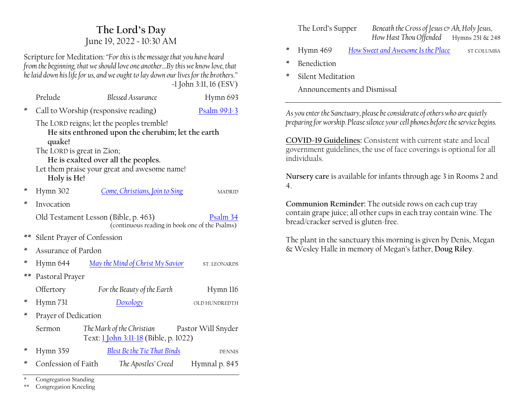# **The Lord's Day** June 19, 2022 ~ 10:30 AM

Scripture for Meditation*:"For this is the message that you have heard from the beginning, that we should love one another…By this we know love, that he laid down his life for us, and we ought to lay down our lives for the brothers." ~*1 John 3:11, 16 (ESV)

|       | Prelude                                                                                                                                                                                                                                       | <b>Blessed Assurance</b> |                                                                                       |  | Hymn 693      |  |
|-------|-----------------------------------------------------------------------------------------------------------------------------------------------------------------------------------------------------------------------------------------------|--------------------------|---------------------------------------------------------------------------------------|--|---------------|--|
| ∗     | Call to Worship (responsive reading)                                                                                                                                                                                                          |                          |                                                                                       |  | Psalm 99:1-3  |  |
|       | The LORD reigns; let the peoples tremble!<br>He sits enthroned upon the cherubim; let the earth<br>quake!<br>The LORD is great in Zion;<br>He is exalted over all the peoples.<br>Let them praise your great and awesome name!<br>Holy is He! |                          |                                                                                       |  |               |  |
| ×     | Hymn 302                                                                                                                                                                                                                                      |                          | Come, Christians, Join to Sing                                                        |  | MADRID        |  |
| ×     | Invocation                                                                                                                                                                                                                                    |                          |                                                                                       |  |               |  |
|       | Old Testament Lesson (Bible, p. 463)<br>Psalm 34<br>(continuous reading in book one of the Psalms)                                                                                                                                            |                          |                                                                                       |  |               |  |
| $***$ | Silent Prayer of Confession                                                                                                                                                                                                                   |                          |                                                                                       |  |               |  |
| ×     | Assurance of Pardon                                                                                                                                                                                                                           |                          |                                                                                       |  |               |  |
| ∗     | Hymn 644                                                                                                                                                                                                                                      |                          | May the Mind of Christ My Savior                                                      |  | ST. LEONARDS  |  |
| $**$  | Pastoral Prayer                                                                                                                                                                                                                               |                          |                                                                                       |  |               |  |
|       | Offertory                                                                                                                                                                                                                                     |                          | For the Beauty of the Earth                                                           |  | Hymn 116      |  |
| ×     | Hymn 731                                                                                                                                                                                                                                      |                          | <b>Doxology</b>                                                                       |  | OLD HUNDREDTH |  |
| ×     | Prayer of Dedication                                                                                                                                                                                                                          |                          |                                                                                       |  |               |  |
|       | Sermon                                                                                                                                                                                                                                        |                          | The Mark of the Christian Pastor Will Snyder<br>Text: 1 John 3:11-18 (Bible, p. 1022) |  |               |  |
| ×     | Hymn 359                                                                                                                                                                                                                                      |                          | <b>Blest Be the Tie That Binds</b>                                                    |  | <b>DENNIS</b> |  |
| ×     | Confession of Faith                                                                                                                                                                                                                           |                          | The Apostles' Creed                                                                   |  | Hymnal p. 845 |  |

Congregation Standing

\*\* Congregation Kneeling

The Lord's Supper Beneath the Cross of Jesus  $\circ$  Ah, Holy Jesus, *How Hast Thou Offended* Hymns 251 & 248

- \* Hymn 469 *[How Sweet and Awesome Is the Place](https://hymnary.org/hymn/TH1990/469)* ST COLUMBA
- **Benediction**
- \* Silent Meditation

Announcements and Dismissal

*As you enter the Sanctuary, please be considerate of others who are quietly preparing for worship. Please silence your cell phones before the service begins.*

**COVID-19 Guidelines:** Consistent with current state and local government guidelines, the use of face coverings is optional for all individuals.

**Nursery care** is available for infants through age 3 in Rooms 2 and 4.

**Communion Reminder:** The outside rows on each cup tray contain grape juice; all other cups in each tray contain wine. The bread/cracker served is gluten-free.

The plant in the sanctuary this morning is given by Denis, Megan & Wesley Halle in memory of Megan's father, **Doug Riley**.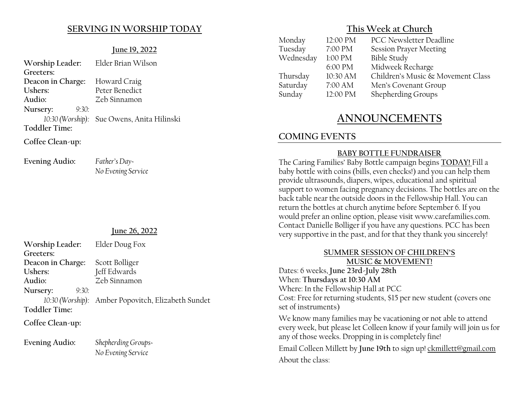### **SERVING IN WORSHIP TODAY**

#### **June 19, 2022**

| Worship Leader:      | Elder Brian Wilson                         |  |
|----------------------|--------------------------------------------|--|
| Greeters:            |                                            |  |
| Deacon in Charge:    | Howard Craig                               |  |
| Ushers:              | Peter Benedict                             |  |
| Audio:               | Zeb Sinnamon                               |  |
| Nursery:<br>9:30:    |                                            |  |
|                      | 10:30 (Worship): Sue Owens, Anita Hilinski |  |
| <b>Toddler Time:</b> |                                            |  |
| Coffee Clean-up:     |                                            |  |

**Evening Audio:** *Father's Day~*

*No Evening Service*

#### **June 26, 2022**

| Worship Leader: Elder Doug Fox |                                                    |
|--------------------------------|----------------------------------------------------|
| Greeters:                      |                                                    |
| Deacon in Charge:              | Scott Bolliger                                     |
| Ushers:                        | Jeff Edwards                                       |
| Audio:                         | Zeb Sinnamon                                       |
| Nursery:<br>9:30:              |                                                    |
|                                | 10:30 (Worship): Amber Popovitch, Elizabeth Sundet |
| <b>Toddler Time:</b>           |                                                    |
|                                |                                                    |

**Coffee Clean-up:**

**Evening Audio:** *Shepherding Groups~*

*No Evening Service*

#### **This Week at Church**

| Monday    | 12:00 PM | <b>PCC Newsletter Deadline</b>    |
|-----------|----------|-----------------------------------|
| Tuesday   | 7:00 PM  | <b>Session Prayer Meeting</b>     |
| Wednesday | 1:00 PM  | <b>Bible Study</b>                |
|           | 6:00 PM  | Midweek Recharge                  |
| Thursday  | 10:30 AM | Children's Music & Movement Class |
| Saturday  | 7:00 AM  | Men's Covenant Group              |
| Sunday    | 12:00 PM | Shepherding Groups                |

# **ANNOUNCEMENTS**

# **COMING EVENTS**

#### **BABY BOTTLE FUNDRAISER**

The Caring Families' Baby Bottle campaign begins **TODAY!** Fill a baby bottle with coins (bills, even checks!) and you can help them provide ultrasounds, diapers, wipes, educational and spiritual support to women facing pregnancy decisions. The bottles are on the back table near the outside doors in the Fellowship Hall. You can return the bottles at church anytime before September 6. If you would prefer an online option, please visit www.carefamilies.com. Contact Danielle Bolliger if you have any questions. PCC has been very supportive in the past, and for that they thank you sincerely!

### **SUMMER SESSION OF CHILDREN'S MUSIC & MOVEMENT!**

Dates: 6 weeks, **June 23rd-July 28th** When: **Thursdays at 10:30 AM** Where: In the Fellowship Hall at PCC Cost: Free for returning students, \$15 per new student (covers one set of instruments)

We know many families may be vacationing or not able to attend every week, but please let Colleen know if your family will join us for any of those weeks. Dropping in is completely fine!

Email Colleen Millett by **June 19th** to sign up! [ckmillett@gmail.com](mailto:ckmillett@gmail.com) About the class: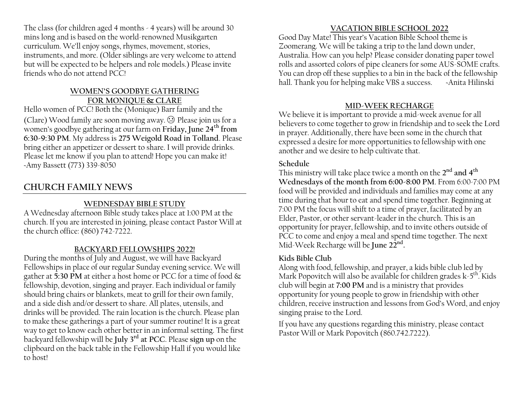The class (for children aged 4 months - 4 years) will be around 30 mins long and is based on the world-renowned Musikgarten curriculum. We'll enjoy songs, rhymes, movement, stories, instruments, and more. (Older siblings are very welcome to attend but will be expected to be helpers and role models.) Please invite friends who do not attend PCC!

#### **WOMEN'S GOODBYE GATHERING FOR MONIQUE & CLARE**

Hello women of PCC! Both the (Monique) Barr family and the (Clare) Wood family are soon moving away.  $\odot$  Please join us for a women's goodbye gathering at our farm on **Friday, June 24th from 6:30-9:30 PM**. My address is **275 Weigold Road in Tolland**. Please bring either an appetizer or dessert to share. I will provide drinks. Please let me know if you plan to attend! Hope you can make it! ~Amy Bassett (773) 339-8050

# **CHURCH FAMILY NEWS**

# **WEDNESDAY BIBLE STUDY**

A Wednesday afternoon Bible study takes place at 1:00 PM at the church. If you are interested in joining, please contact Pastor Will at the church office: (860) 742-7222.

#### **BACKYARD FELLOWSHIPS 2022!**

During the months of July and August, we will have Backyard Fellowships in place of our regular Sunday evening service. We will gather at **5:30 PM** at either a host home or PCC for a time of food & fellowship, devotion, singing and prayer. Each individual or family should bring chairs or blankets, meat to grill for their own family, and a side dish and/or dessert to share. All plates, utensils, and drinks will be provided. The rain location is the church. Please plan to make these gatherings a part of your summer routine! It is a great way to get to know each other better in an informal setting. The first backyard fellowship will be **July 3rd at PCC**. Please **sign up** on the clipboard on the back table in the Fellowship Hall if you would like to host!

#### **VACATION BIBLE SCHOOL 2022**

Good Day Mate! This year's Vacation Bible School theme is Zoomerang. We will be taking a trip to the land down under, Australia. How can you help? Please consider donating paper towel rolls and assorted colors of pipe cleaners for some AUS-SOME crafts. You can drop off these supplies to a bin in the back of the fellowship hall. Thank you for helping make VBS a success. <br>Anita Hilinski

#### **MID-WEEK RECHARGE**

We believe it is important to provide a mid-week avenue for all believers to come together to grow in friendship and to seek the Lord in prayer. Additionally, there have been some in the church that expressed a desire for more opportunities to fellowship with one another and we desire to help cultivate that.

#### **Schedule**

This ministry will take place twice a month on the **2nd and 4th Wednesdays of the month from 6:00-8:00 PM**. From 6:00-7:00 PM food will be provided and individuals and families may come at any time during that hour to eat and spend time together. Beginning at 7:00 PM the focus will shift to a time of prayer, facilitated by an Elder, Pastor, or other servant-leader in the church. This is an opportunity for prayer, fellowship, and to invite others outside of PCC to come and enjoy a meal and spend time together. The next Mid-Week Recharge will be **June 22nd.**

#### **Kids Bible Club**

Along with food, fellowship, and prayer, a kids bible club led by Mark Popovitch will also be available for children grades  $k-5^{th}$ . Kids club will begin at **7:00 PM** and is a ministry that provides opportunity for young people to grow in friendship with other children, receive instruction and lessons from God's Word, and enjoy singing praise to the Lord.

If you have any questions regarding this ministry, please contact Pastor Will or Mark Popovitch (860.742.7222).